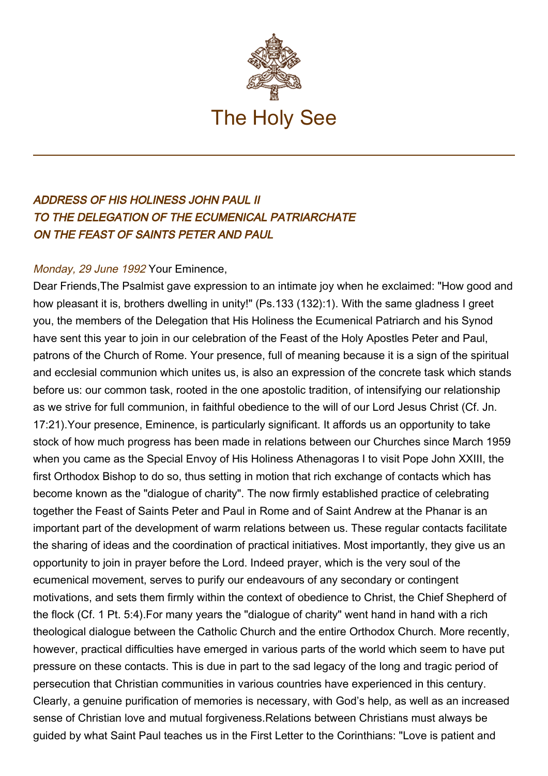

## ADDRESS OF HIS HOLINESS JOHN PAUL II TO THE DELEGATION OF THE ECUMENICAL PATRIARCHATE ON THE FEAST OF SAINTS PETER AND PAUL

## Monday, 29 June 1992 Your Eminence,

Dear Friends,The Psalmist gave expression to an intimate joy when he exclaimed: "How good and how pleasant it is, brothers dwelling in unity!" (Ps.133 (132):1). With the same gladness I greet you, the members of the Delegation that His Holiness the Ecumenical Patriarch and his Synod have sent this year to join in our celebration of the Feast of the Holy Apostles Peter and Paul, patrons of the Church of Rome. Your presence, full of meaning because it is a sign of the spiritual and ecclesial communion which unites us, is also an expression of the concrete task which stands before us: our common task, rooted in the one apostolic tradition, of intensifying our relationship as we strive for full communion, in faithful obedience to the will of our Lord Jesus Christ (Cf. Jn. 17:21).Your presence, Eminence, is particularly significant. It affords us an opportunity to take stock of how much progress has been made in relations between our Churches since March 1959 when you came as the Special Envoy of His Holiness Athenagoras I to visit Pope John XXIII, the first Orthodox Bishop to do so, thus setting in motion that rich exchange of contacts which has become known as the "dialogue of charity". The now firmly established practice of celebrating together the Feast of Saints Peter and Paul in Rome and of Saint Andrew at the Phanar is an important part of the development of warm relations between us. These regular contacts facilitate the sharing of ideas and the coordination of practical initiatives. Most importantly, they give us an opportunity to join in prayer before the Lord. Indeed prayer, which is the very soul of the ecumenical movement, serves to purify our endeavours of any secondary or contingent motivations, and sets them firmly within the context of obedience to Christ, the Chief Shepherd of the flock (Cf. 1 Pt. 5:4).For many years the "dialogue of charity" went hand in hand with a rich theological dialogue between the Catholic Church and the entire Orthodox Church. More recently, however, practical difficulties have emerged in various parts of the world which seem to have put pressure on these contacts. This is due in part to the sad legacy of the long and tragic period of persecution that Christian communities in various countries have experienced in this century. Clearly, a genuine purification of memories is necessary, with God's help, as well as an increased sense of Christian love and mutual forgiveness.Relations between Christians must always be guided by what Saint Paul teaches us in the First Letter to the Corinthians: "Love is patient and